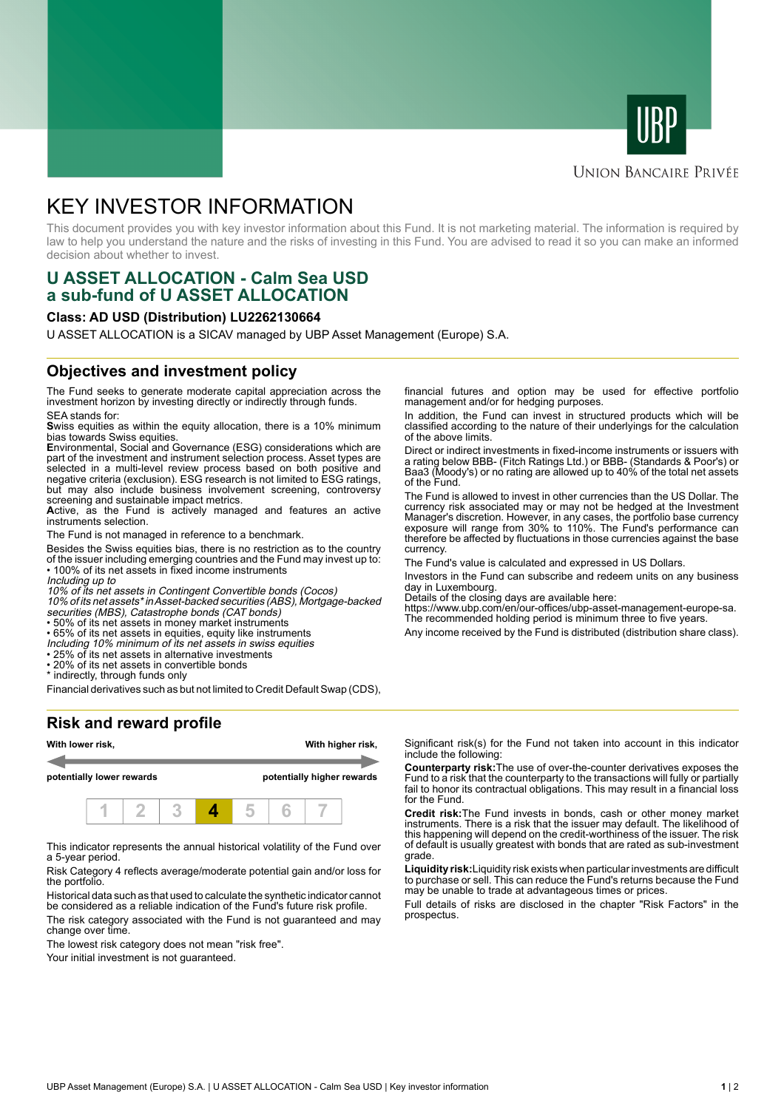



# **UNION BANCAIRE PRIVÉE**

# KEY INVESTOR INFORMATION

This document provides you with key investor information about this Fund. It is not marketing material. The information is required by law to help you understand the nature and the risks of investing in this Fund. You are advised to read it so you can make an informed decision about whether to invest.

# **U ASSET ALLOCATION - Calm Sea USD a sub-fund of U ASSET ALLOCATION**

#### **Class: AD USD (Distribution) LU2262130664**

U ASSET ALLOCATION is a SICAV managed by UBP Asset Management (Europe) S.A.

#### **Objectives and investment policy**

The Fund seeks to generate moderate capital appreciation across the investment horizon by investing directly or indirectly through funds. SEA stands for:

**S**wiss equities as within the equity allocation, there is a 10% minimum bias towards Swiss equities.

**E**nvironmental, Social and Governance (ESG) considerations which are part of the investment and instrument selection process. Asset types are selected in a multi-level review process based on both positive and negative criteria (exclusion). ESG research is not limited to ESG ratings, but may also include business involvement screening, controversy screening and sustainable impact metrics.

Active, as the Fund is actively managed and features an active instruments selection.

The Fund is not managed in reference to a benchmark.

Besides the Swiss equities bias, there is no restriction as to the country of the issuer including emerging countries and the Fund may invest up to: • 100% of its net assets in fixed income instruments

Including up to

10% of its net assets in Contingent Convertible bonds (Cocos)

10% of its net assets\* in Asset-backed securities (ABS), Mortgage-backed securities (MBS), Catastrophe bonds (CAT bonds)

• 50% of its net assets in money market instruments

• 65% of its net assets in equities, equity like instruments

Including 10% minimum of its net assets in swiss equities • 25% of its net assets in alternative investments

• 20% of its net assets in convertible bonds

\* indirectly, through funds only

Financial derivatives such as but not limited to Credit Default Swap (CDS),

### **Risk and reward profile**



This indicator represents the annual historical volatility of the Fund over a 5-year period.

Risk Category 4 reflects average/moderate potential gain and/or loss for the portfolio.

Historical data such as that used to calculate the synthetic indicator cannot be considered as a reliable indication of the Fund's future risk profile.

The risk category associated with the Fund is not guaranteed and may change over time.

The lowest risk category does not mean "risk free".

Your initial investment is not guaranteed.

financial futures and option may be used for effective portfolio management and/or for hedging purposes.

In addition, the Fund can invest in structured products which will be classified according to the nature of their underlyings for the calculation of the above limits.

Direct or indirect investments in fixed-income instruments or issuers with a rating below BBB- (Fitch Ratings Ltd.) or BBB- (Standards & Poor's) or Baa3 (Moody's) or no rating are allowed up to 40% of the total net assets of the Fund.

The Fund is allowed to invest in other currencies than the US Dollar. The currency risk associated may or may not be hedged at the Investment Manager's discretion. However, in any cases, the portfolio base currency exposure will range from 30% to 110%. The Fund's performance can therefore be affected by fluctuations in those currencies against the base currency.

The Fund's value is calculated and expressed in US Dollars.

Investors in the Fund can subscribe and redeem units on any business day in Luxembourg.

Details of the closing days are available here:

https://www.ubp.com/en/our-offices/ubp-asset-management-europe-sa. The recommended holding period is minimum three to five years.

Any income received by the Fund is distributed (distribution share class).

Significant risk(s) for the Fund not taken into account in this indicator include the following:

**Counterparty risk:**The use of over-the-counter derivatives exposes the Fund to a risk that the counterparty to the transactions will fully or partially fail to honor its contractual obligations. This may result in a financial loss for the Fund.

**Credit risk:**The Fund invests in bonds, cash or other money market instruments. There is a risk that the issuer may default. The likelihood of this happening will depend on the credit-worthiness of the issuer. The risk of default is usually greatest with bonds that are rated as sub-investment grade.

**Liquidity risk:**Liquidity risk exists when particular investments are difficult to purchase or sell. This can reduce the Fund's returns because the Fund may be unable to trade at advantageous times or prices.

Full details of risks are disclosed in the chapter "Risk Factors" in the prospectus.